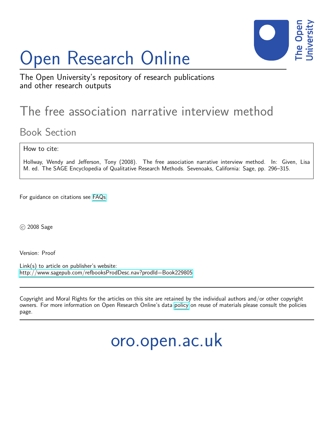# Open Research Online



The Open University's repository of research publications and other research outputs

# The free association narrative interview method

Book Section

How to cite:

Hollway, Wendy and Jefferson, Tony (2008). The free association narrative interview method. In: Given, Lisa M. ed. The SAGE Encyclopedia of Qualitative Research Methods. Sevenoaks, California: Sage, pp. 296–315.

For guidance on citations see [FAQs.](http://oro.open.ac.uk/help/helpfaq.html)

c 2008 Sage

Version: Proof

Link(s) to article on publisher's website: <http://www.sagepub.com/refbooksProdDesc.nav?prodId=Book229805>

Copyright and Moral Rights for the articles on this site are retained by the individual authors and/or other copyright owners. For more information on Open Research Online's data [policy](http://oro.open.ac.uk/policies.html) on reuse of materials please consult the policies page.

oro.open.ac.uk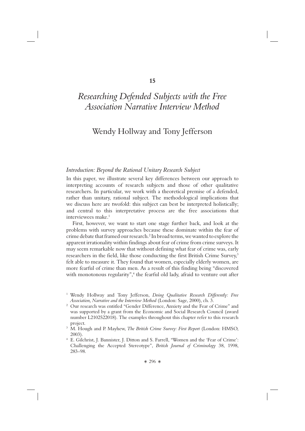## *Researching Defended Subjects with the Free Association Narrative Interview Method*

### Wendy Hollway and Tony Jefferson

#### *Introduction: Beyond the Rational Unitary Research Subject*

In this paper, we illustrate several key differences between our approach to interpreting accounts of research subjects and those of other qualitative researchers. In particular, we work with a theoretical premise of a defended, rather than unitary, rational subject. The methodological implications that we discuss here are twofold: this subject can best be interpreted holistically; and central to this interpretative process are the free associations that interviewees make.1

First, however, we want to start one stage further back, and look at the problems with survey approaches because these dominate within the fear of crime debate that framed our research.2 In broad terms, we wanted to explore the apparent irrationality within findings about fear of crime from crime surveys. It may seem remarkable now that without defining what fear of crime was, early researchers in the field, like those conducting the first British Crime Survey, 3 felt able to measure it. They found that women, especially elderly women, are more fearful of crime than men. As a result of this finding being "discovered with monotonous regularity",<sup>4</sup> the fearful old lady, afraid to venture out after

- <sup>3</sup> M. Hough and P. Mayhew, *The British Crime Survey: First Report* (London: HMSO, 2003).
- <sup>4</sup> E. Gilchrist, J. Bannister, J. Ditton and S. Farrell, "Women and the 'Fear of Crime': Challenging the Accepted Stereotype", *British Journal of Criminology* 38, 1998, 283–98.

<sup>1</sup> Wendy Hollway and Tony Jefferson, *Doing Qualitative Research Differently: Free Association, Narrative and the Interview Method* (London: Sage, 2000), ch. 3.

<sup>2</sup> Our research was entitled "Gender Difference, Anxiety and the Fear of Crime" and was supported by a grant from the Economic and Social Research Council (award number L2102522018). The examples throughout this chapter refer to this research project.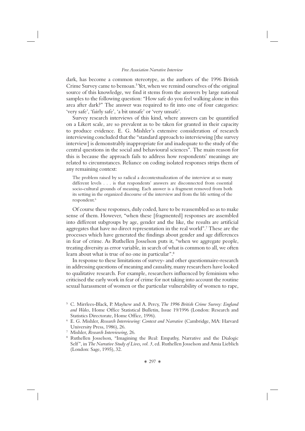dark, has become a common stereotype, as the authors of the 1996 British Crime Survey came to bemoan.<sup>5</sup> Yet, when we remind ourselves of the original source of this knowledge, we find it stems from the answers by large national samples to the following question: "How safe do you feel walking alone in this area after dark?" The answer was required to fit into one of four categories: 'very safe', 'fairly safe', 'a bit unsafe' or 'very unsafe'.

Survey research interviews of this kind, where answers can be quantified on a Likert scale, are so prevalent as to be taken for granted in their capacity to produce evidence. E. G. Mishler's extensive consideration of research interviewing concluded that the "standard approach to interviewing [the survey interview] is demonstrably inappropriate for and inadequate to the study of the central questions in the social and behavioural sciences". The main reason for this is because the approach fails to address how respondents' meanings are related to circumstances. Reliance on coding isolated responses strips them of any remaining context:

The problem raised by so radical a decontextualization of the interview at so many different levels . . . is that respondents' answers are disconnected from essential socio-cultural grounds of meaning. Each answer is a fragment removed from both its setting in the organized discourse of the interview and from the life setting of the respondent.6

Of course these responses, duly coded, have to be reassembled so as to make sense of them. However, "when these [fragmented] responses are assembled into different subgroups by age, gender and the like, the results are artificial aggregates that have no direct representation in the real world".7 These are the processes which have generated the findings about gender and age differences in fear of crime. As Ruthellen Josselson puts it, "when we aggregate people, treating diversity as error variable, in search of what is common to all, we often learn about what is true of no one in particular".<sup>8</sup>

In response to these limitations of survey- and other questionnaire-research in addressing questions of meaning and causality, many researchers have looked to qualitative research. For example, researchers influenced by feminism who criticised the early work in fear of crime for not taking into account the routine sexual harassment of women or the particular vulnerability of women to rape,

- <sup>6</sup> E. G. Mishler, *Research Interviewing: Context and Narrative* (Cambridge, MA: Harvard University Press, 1986), 26.
- <sup>7</sup> Mishler, *Research Interviewing*, 26.
- <sup>8</sup> Ruthellen Josselson, "Imagining the Real: Empathy, Narrative and the Dialogic Self", in *The Narrative Study of Lives, vol. 3*, ed. Ruthellen Josselson and Amia Lieblich (London: Sage, 1995), 32.

<sup>5</sup> C. Mirrlees-Black, P. Mayhew and A. Percy, *The 1996 British Crime Survey: England and Wales*, Home Office Statistical Bulletin, Issue 19/1996 (London: Research and Statistics Directorate, Home Office, 1996).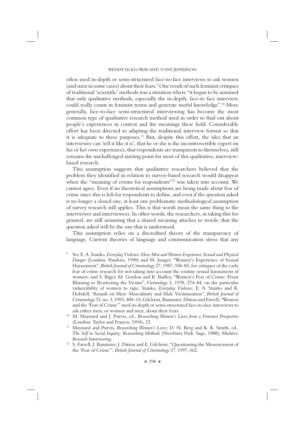often used in-depth or semi-structured face-to-face interviews to ask women (and men in some cases) about their fears.9 One result of such feminist critiques of traditional 'scientific' methods was a situation where "it began to be assumed that only qualitative methods, especially the in-depth, face-to face interview, could really count in feminist terms and generate useful knowledge".10 More generally, face-to-face semi-structured interviewing has become the most common type of qualitative research method used in order to find out about people's experiences in context and the meanings these hold. Considerable effort has been directed to adapting the traditional interview format so that it is adequate to these purposes.<sup>11</sup> But, despite this effort, the idea that an interviewee can 'tell it like it is', that he or she is the incontrovertible expert on his or her own experiences, that respondents are transparent to themselves, still remains the unchallenged starting point for most of this qualitative, interviewbased research.

This assumption suggests that qualitative researchers believed that the problem they identified in relation to survey-based research would disappear when the "meaning of events for respondents"<sup>12</sup> was taken into account. We cannot agree. Even if no theoretical assumptions are being made about fear of crime since this is left for respondents to define, and even if the question asked is no longer a closed one, at least one problematic methodological assumption of survey research still applies. This is that words mean the same thing to the interviewer and interviewees. In other words, the researchers, in taking this for granted, are still assuming that a shared meaning attaches to words: that the question asked will be the one that is understood.

This assumption relies on a discredited theory of the transparency of language. Current theories of language and communication stress that any

- <sup>9</sup> See E. A. Stanko, *Everyday Violence: How Men and Women Experience Sexual and Physical Danger* (London: Pandora, 1990) and M. Junger, "Women's Experience of Sexual Harassment", *British Journal of Criminology* 27, 1987, 358–83, for critiques of the early fear of crime research for not taking into account the routine sexual harassment of women; and S. Riger, M. Gordon and R. Bailley, "Women's Fear of Crime: From Blaming to Restricting the Victim", *Victimology* 3, 1978, 274–84, on the particular vulnerability of women to rape; Stanko, *Everyday Violence*; E. A. Stanko and K. Hobdell, "Assault on Men: Masculinity and Male Victimization", *British Journal of Criminology* 33, no. 3, 1993, 400–15; Gilchrist, Bannister, Ditton and Farrell, "Women and the 'Fear of Crime'" used in-depth or semi-structured face-to-face interviews to ask either men, or women and men, about their fears.
- <sup>10</sup> M. Maynard and J. Purvis, ed., *Researching Women's Lives from a Feminist Perspective* (London: Taylor and Francis, 1994), 12.
- <sup>11</sup> Maynard and Purvis, *Researching Women's Lives*; D. N. Berg and K. K. Smith, ed., *The Self in Social Inquiry: Researching Methods* (Newbury Park: Sage, 1988); Mishler, *Research Interviewing.*
- <sup>12</sup> S. Farrell, J. Bannister, J. Ditton and E. Gilchrist, "Questioning the Measurement of the 'Fear of Crime'", *British Journal of Criminology* 37, 1997, 662.

\* 298 \*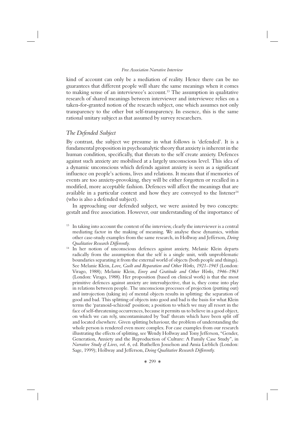kind of account can only be a mediation of reality. Hence there can be no guarantees that different people will share the same meanings when it comes to making sense of an interviewee's account.13 The assumption in qualitative research of shared meanings between interviewer and interviewee relies on a taken-for-granted notion of the research subject, one which assumes not only transparency to the other but self-transparency. In essence, this is the same rational unitary subject as that assumed by survey researchers.

#### *The Defended Subject*

By contrast, the subject we presume in what follows is 'defended'. It is a fundamental proposition in psychoanalytic theory that anxiety is inherent in the human condition, specifically, that threats to the self create anxiety. Defences against such anxiety are mobilised at a largely unconscious level. This idea of a dynamic unconscious which defends against anxiety is seen as a significant influence on people's actions, lives and relations. It means that if memories of events are too anxiety-provoking, they will be either forgotten or recalled in a modified, more acceptable fashion. Defences will affect the meanings that are available in a particular context and how they are conveyed to the listener<sup>14</sup> (who is also a defended subject).

In approaching our defended subject, we were assisted by two concepts: gestalt and free association. However, our understanding of the importance of

- <sup>13</sup> In taking into account the context of the interview, clearly the interviewer is a central mediating factor in the making of meaning. We analyse these dynamics, within other case-study examples from the same research, in Hollway and Jefferson, *Doing Qualitative Research Differently.*
- <sup>14</sup> In her notion of unconscious defences against anxiety, Melanie Klein departs radically from the assumption that the self is a single unit, with unproblematic boundaries separating it from the external world of objects (both people and things). See Melanie Klein, *Love, Guilt and Reparation and Other Works, 1921–1945* (London: Virago, 1988); Melanie Klein, *Envy and Gratitude and Other Works, 1946–1963* (London: Virago, 1988). Her proposition (based on clinical work) is that the most primitive defences against anxiety are intersubjective, that is, they come into play in relations between people. The unconscious processes of projection (putting out) and introjection (taking in) of mental objects results in splitting: the separation of good and bad. This splitting of objects into good and bad is the basis for what Klein terms the 'paranoid-schizoid' position; a position to which we may all resort in the face of self-threatening occurrences, because it permits us to believe in a good object, on which we can rely, uncontaminated by 'bad' threats which have been split off and located elsewhere. Given splitting behaviour, the problem of understanding the whole person is rendered even more complex. For case examples from our research illustrating the effects of splitting, see Wendy Hollway and Tony Jefferson, "Gender, Generation, Anxiety and the Reproduction of Culture: A Family Case Study", in *Narrative Study of Lives, vol. 6*, ed. Ruthellen Josselson and Amia Lieblich (London: Sage, 1999); Hollway and Jefferson, *Doing Qualitative Research Differently.*

\* 299 \*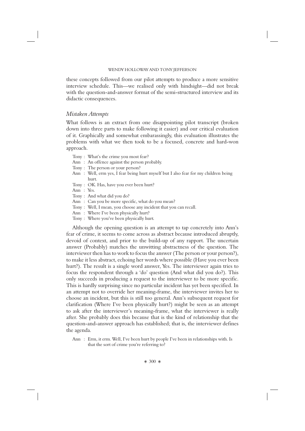these concepts followed from our pilot attempts to produce a more sensitive interview schedule. This—we realised only with hindsight—did not break with the question-and-answer format of the semi-structured interview and its didactic consequences.

#### *Mistaken Attempts*

What follows is an extract from one disappointing pilot transcript (broken down into three parts to make following it easier) and our critical evaluation of it. Graphically and somewhat embarassingly, this evaluation illustrates the problems with what we then took to be a focused, concrete and hard-won approach.

- Tony : What's the crime you most fear?
- Ann : An offence against the person probably.
- Tony : The person or your person?
- Ann : Well, erm yes, I fear being hurt myself but I also fear for my children being hurt.
- Tony : OK. Has, have you ever been hurt?
- Ann : Yes.
- Tony : And what did you do?
- Ann : Can you be more specific, what do you mean?
- Tony : Well, I mean, you choose any incident that you can recall.
- Ann : Where I've been physically hurt?
- Tony : Where you've been physically hurt*.*

Although the opening question is an attempt to tap concretely into Ann's fear of crime, it seems to come across as abstract because introduced abruptly, devoid of context, and prior to the build-up of any rapport. The uncertain answer (Probably) matches the unwitting abstractness of the question. The interviewer then has to work to focus the answer (The person or your person?), to make it less abstract, echoing her words where possible (Have you ever been hurt?). The result is a single word answer, Yes. The interviewer again tries to focus the respondent through a 'do' question (And what did you do?). This only succeeds in producing a request to the interviewer to be more specific. This is hardly surprising since no particular incident has yet been specified. In an attempt not to override her meaning-frame, the interviewer invites her to choose an incident, but this is still too general. Ann's subsequent request for clarification (Where I've been physically hurt?) might be seen as an attempt to ask after the interviewer's meaning-frame, what the interviewer is really after. She probably does this because that is the kind of relationship that the question-and-answer approach has established; that is, the interviewer defines the agenda.

Ann : Erm, it erm. Well, I've been hurt by people I've been in relationships with. Is that the sort of crime you're referring to?

\* 300 \*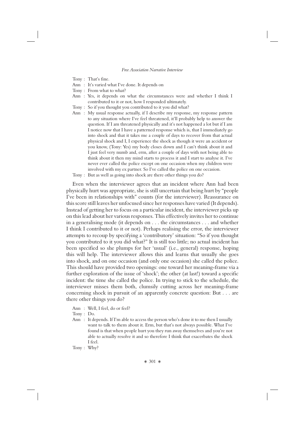- Tony : That's fine.
- Ann : It's varied what I've done. It depends on
- Tony : From what to what?
- Ann : Yes, it depends on what the circumstances were and whether I think I contributed to it or not, how I responded ultimately.
- Tony : So if you thought you contributed to it you did what?
- Ann : My usual response actually, if I describe my response, my response pattern to any situation where I've feel threatened, it'll probably help to answer the question. If I am threatened physically and it's not happened a lot but if I am I notice now that I have a patterned response which is, that I immediately go into shock and that it takes me a couple of days to recover from that actual physical shock and I, I experience the shock as though it were an accident or you know, (Tony: Yes) my body closes down and I can't think about it and I just feel very numb and, erm, after a couple of days with not being able to think about it then my mind starts to process it and I start to analyse it. I've never ever called the police except on one occasion when my children were involved with my ex partner. So I've called the police on one occasion.
- Tony : But as well as going into shock are there other things you do?

Even when the interviewer agrees that an incident where Ann had been physically hurt was appropriate, she is still uncertain that being hurt by "people I've been in relationships with" counts (for the interviewer). Reassurance on this score still leaves her unfocused since her responses have varied (It depends). Instead of getting her to focus on a particular incident, the interviewer picks up on this lead about her various responses. This effectively invites her to continue in a generalising mode (it depends on . . . the circumstances . . . and whether I think I contributed to it or not). Perhaps realising the error, the interviewer attempts to recoup by specifying a 'contributory' situation: "So if you thought you contributed to it you did what?" It is still too little; no actual incident has been specified so she plumps for her 'usual' (i.e., general) response, hoping this will help. The interviewer allows this and learns that usually she goes into shock, and on one occasion (and only one occasion) she called the police. This should have provided two openings: one toward her meaning-frame via a further exploration of the issue of 'shock'; the other (at last!) toward a specific incident: the time she called the police. In trying to stick to the schedule, the interviewer misses them both, clumsily cutting across her meaning-frame concerning shock in pursuit of an apparently concrete question: But . . . are there other things you do?

Ann : Well, I feel, do or feel?

Tony : Do.

Ann : It depends. If I'm able to access the person who's done it to me then I usually want to talk to them about it. Erm, but that's not always possible. What I've found is that when people hurt you they run away themselves and you're not able to actually resolve it and so therefore I think that exacerbates the shock I feel.

Tony : Why?

\* 301 \*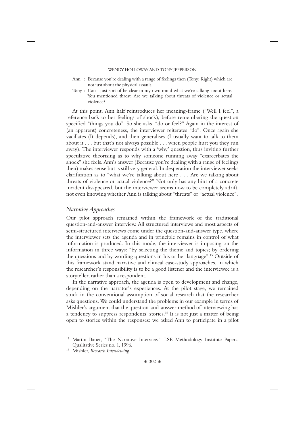- Ann : Because you're dealing with a range of feelings then (Tony: Right) which are not just about the physical assault.
- Tony : Can I just sort of be clear in my own mind what we're talking about here. You mentioned threat. Are we talking about threats of violence or actual violence?

At this point, Ann half reintroduces her meaning-frame ("Well I feel", a reference back to her feelings of shock), before remembering the question specified "things you do". So she asks, "do or feel?" Again in the interest of (an apparent) concreteness, the interviewer reiterates "do". Once again she vacillates (It depends), and then generalises (I usually want to talk to them about it . . . but that's not always possible . . . when people hurt you they run away). The interviewer responds with a 'why' question, thus inviting further speculative theorising as to why someone running away "exarcerbates the shock" she feels. Ann's answer (Because you're dealing with a range of feelings then) makes sense but is still very general. In desperation the interviewer seeks clarification as to "what we're talking about here . . . Are we talking about threats of violence or actual violence?" Not only has any hint of a concrete incident disappeared, but the interviewer seems now to be completely adrift, not even knowing whether Ann is talking about "threats" or "actual violence".

#### *Narrative Approaches*

Our pilot approach remained within the framework of the traditional question-and-answer interview. All structured interviews and most aspects of semi-structured interviews come under the question-and-answer type, where the interviewer sets the agenda and in principle remains in control of what information is produced. In this mode, the interviewer is imposing on the information in three ways: "by selecting the theme and topics; by ordering the questions and by wording questions in his or her language".15 Outside of this framework stand narrative and clinical case-study approaches, in which the researcher's responsibility is to be a good listener and the interviewee is a storyteller, rather than a respondent.

In the narrative approach, the agenda is open to development and change, depending on the narrator's experiences. At the pilot stage, we remained stuck in the conventional assumption of social research that the researcher asks questions. We could understand the problems in our example in terms of Mishler's argument that the question-and-answer method of interviewing has a tendency to suppress respondents' stories.16 It is not just a matter of being open to stories within the responses: we asked Ann to participate in a pilot

Martin Bauer, "The Narrative Interview", LSE Methodology Institute Papers, Qualitative Series no. 1, 1996.

<sup>16</sup> Mishler, *Research Interviewing.*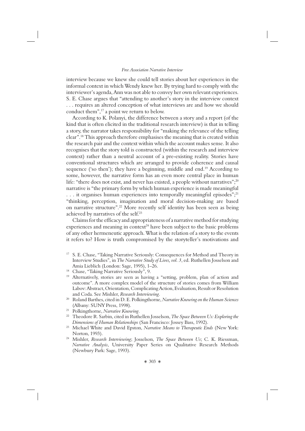interview because we knew she could tell stories about her experiences in the informal context in which Wendy knew her. By trying hard to comply with the interviewer's agenda, Ann was not able to convey her own relevant experiences. S. E. Chase argues that "attending to another's story in the interview context . . . requires an altered conception of what interviews are and how we should conduct them",<sup>17</sup> a point we return to below.

According to K. Polanyi, the difference between a story and a report (of the kind that is often elicited in the traditional research interview) is that in telling a story, the narrator takes responsibility for "making the relevance of the telling clear".18 This approach therefore emphasises the meaning that is created within the research pair and the context within which the account makes sense. It also recognises that the story told is constructed (within the research and interview context) rather than a neutral account of a pre-existing reality. Stories have conventional structures which are arranged to provide coherence and causal sequence ('so then'); they have a beginning, middle and end.<sup>19</sup> According to some, however, the narrative form has an even more central place in human life: "there does not exist, and never has existed, a people without narratives";<sup>20</sup> narrative is "the primary form by which human experience is made meaningful ... it organises human experiences into temporally meaningful episodes";<sup>21</sup> "thinking, perception, imagination and moral decision-making are based on narrative structure".<sup>22</sup> More recently self identity has been seen as being achieved by narratives of the self. 23

Claims for the efficacy and appropriateness of a narrative method for studying experiences and meaning in context<sup>24</sup> have been subject to the basic problems of any other hermeneutic approach. What is the relation of a story to the events it refers to? How is truth compromised by the storyteller's motivations and

- <sup>17</sup> S. E. Chase, "Taking Narrative Seriously: Consequences for Method and Theory in Interview Studies", in *The Narrative Study of Lives, vol. 3*, ed. Ruthellen Josselson and Amia Lieblich (London: Sage, 1995), 1–26.
- <sup>18</sup> Chase, "Taking Narrative Seriously", 9.
- <sup>19</sup> Alternatively, stories are seen as having a "setting, problem, plan of action and outcome". A more complex model of the structure of stories comes from William Labov: Abstract, Orientation, Complicating Action, Evaluation, Result or Resolution and Coda. See Mishler, *Research Interviewing*.
- <sup>20</sup> Roland Barthes, cited in D. E. Polkingthorne, *Narrative Knowing on the Human Sciences* (Albany: SUNY Press, 1998).
- <sup>21</sup> Polkingthorne, *Narrative Knowing*.
- <sup>22</sup> Theodore R. Sarbin, cited in Ruthellen Josselson, *The Space Between Us: Exploring the Dimensions of Human Relationships* (San Francisco: Jossey Bass, 1992).
- <sup>23</sup> Michael White and David Epston, *Narrative Means to Therapeutic Ends* (New York: Norton, 1993).
- <sup>24</sup> Mishler, *Research Interviewing*; Josselson, *The Space Between Us*; C. K. Riessman, *Narrative Analysis*, University Paper Series on Qualitative Research Methods (Newbury Park: Sage, 1993).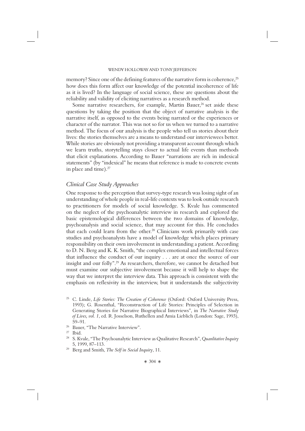memory? Since one of the defining features of the narrative form is coherence,<sup>25</sup> how does this form affect our knowledge of the potential incoherence of life as it is lived? In the language of social science, these are questions about the reliability and validity of eliciting narratives as a research method.

Some narrative researchers, for example, Martin Bauer, 26 set aside these questions by taking the position that the object of narrative analysis is the narrative itself, as opposed to the events being narrated or the experiences or character of the narrator. This was not so for us when we turned to a narrative method. The focus of our analysis is the people who tell us stories about their lives: the stories themselves are a means to understand our interviewees better. While stories are obviously not providing a transparent account through which we learn truths, storytelling stays closer to actual life events than methods that elicit explanations. According to Bauer "narrations are rich in indexical statements" (by "indexical" he means that reference is made to concrete events in place and time).27

#### *Clinical Case Study Approaches*

One response to the perception that survey-type research was losing sight of an understanding of whole people in real-life contexts was to look outside research to practitioners for models of social knowledge. S. Kvale has commented on the neglect of the psychoanalytic interview in research and explored the basic epistemological differences between the two domains of knowledge, psychoanalysis and social science, that may account for this. He concludes that each could learn from the other. <sup>28</sup> Clinicians work primarily with case studies and psychoanalysts have a model of knowledge which places primary responsibility on their own involvement in understanding a patient. According to D. N. Berg and K. K. Smith, "the complex emotional and intellectual forces that influence the conduct of our inquiry . . . are at once the source of our insight and our folly".29 As researchers, therefore, we cannot be detached but must examine our subjective involvement because it will help to shape the way that we interpret the interview data. This approach is consistent with the emphasis on reflexivity in the interview, but it understands the subjectivity

- <sup>25</sup> C. Linde, *Life Stories: The Creation of Coherence* (Oxford: Oxford University Press, 1993); G. Rosenthal, "Reconstruction of Life Stories: Principles of Selection in Generating Stories for Narrative Biographical Interviews", in *The Narrative Study of Lives, vol. 1*, ed. R. Josselson, Ruthellen and Amia Lieblich (London: Sage, 1993), 59–91.
- <sup>26</sup> Bauer, "The Narrative Interview".

- <sup>28</sup> S. Kvale, "The Psychoanalytic Interview as Qualitative Research", *Quanlitative Inquiry* 5, 1999, 87–113.
- <sup>29</sup> Berg and Smith, *The Self in Social Inquiry*, 11.

<sup>27</sup> Ibid.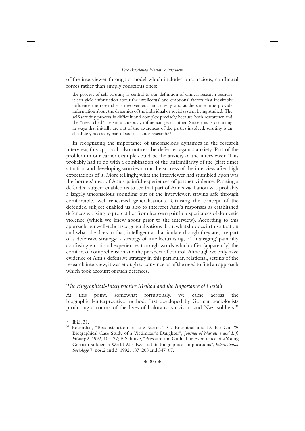of the interviewer through a model which includes unconscious, conflictual forces rather than simply conscious ones:

the process of self-scrutiny is central to our definition of clinical research because it can yield information about the intellectual and emotional factors that inevitably influence the researcher's involvement and activity, and at the same time provide information about the dynamics of the individual or social system being studied. The self-scrutiny process is difficult and complex precisely because both researcher and the "researched" are simultaneously influencing each other. Since this is occurring in ways that initially are out of the awareness of the parties involved, scrutiny is an absolutely necessary part of social science research.<sup>30</sup>

In recognising the importance of unconscious dynamics in the research interview, this approach also notices the defences against anxiety. Part of the problem in our earlier example could be the anxiety of the interviewer. This probably had to do with a combination of the unfamiliarity of the (first time) situation and developing worries about the success of the interview after high expectations of it. More tellingly, what the interviewer had stumbled upon was the hornets' nest of Ann's painful experiences of partner violence. Positing a defended subject enabled us to see that part of Ann's vacillation was probably a largely unconscious sounding out of the interviewer, staying safe through comfortable, well-rehearsed generalisations. Utilising the concept of the defended subject enabled us also to interpret Ann's responses as established defences working to protect her from her own painful experiences of domestic violence (which we knew about prior to the interview). According to this approach, her well-rehearsed generalisations about what she does in this situation and what she does in that, intelligent and articulate though they are, are part of a defensive strategy; a strategy of intellectualising, of 'managing' painfully confusing emotional experiences through words which offer (apparently) the comfort of comprehension and the prospect of control. Although we only have evidence of Ann's defensive strategy in this particular, relational, setting of the research interview, it was enough to convince us of the need to find an approach which took account of such defences.

#### *The Biographical-Interpretative Method and the Importance of Gestalt*

At this point, somewhat fortuitously, we came across the biographical-interpretative method, first developed by German sociologists producing accounts of the lives of holocaust survivors and Nazi soldiers.<sup>31</sup>

\* 305 \*

 $30$  Ibid, 31.

Rosenthal, "Reconstruction of Life Stories"; G. Rosenthal and D. Bar-On, "A Biographical Case Study of a Victimizer's Daughter", *Journal of Narrative and Life History* 2, 1992, 105–27; F. Schutze, "Pressure and Guilt: The Experience of a Young German Soldier in World War Two and its Biographical Implications", *International Sociology* 7, nos.2 and 3, 1992, 187–208 and 347–67.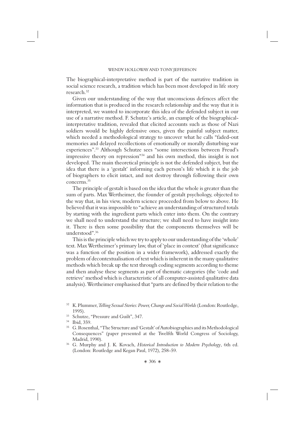The biographical-interpretative method is part of the narrative tradition in social science research, a tradition which has been most developed in life story research.32

Given our understanding of the way that unconscious defences affect the information that is produced in the research relationship and the way that it is interpreted, we wanted to incorporate this idea of the defended subject in our use of a narrative method. F. Schutze's article, an example of the biographicalinterpretative tradition, revealed that elicited accounts such as those of Nazi soldiers would be highly defensive ones, given the painful subject matter, which needed a methodological strategy to uncover what he calls "faded-out memories and delayed recollections of emotionally or morally disturbing war experiences".33 Although Schutze sees "some intersections between Freud's impressive theory on repression"34 and his own method, this insight is not developed. The main theoretical principle is not the defended subject, but the idea that there is a 'gestalt' informing each person's life which it is the job of biographers to elicit intact, and not destroy through following their own concerns.35

The principle of gestalt is based on the idea that the whole is greater than the sum of parts. Max Wertheimer, the founder of gestalt psychology, objected to the way that, in his view, modern science proceeded from below to above. He believed that it was impossible to "achieve an understanding of structured totals by starting with the ingredient parts which enter into them. On the contrary we shall need to understand the structure; we shall need to have insight into it. There is then some possibility that the components themselves will be understood".36

This is the principle which we try to apply to our understanding of the 'whole' text. Max Wertheimer's primary law, that of 'place in context' (that significance was a function of the position in a wider framework), addressed exactly the problem of decontextualisation of text which is inherent in the many qualitative methods which break up the text through coding segments according to theme and then analyse these segments as part of thematic categories (the 'code and retrieve' method which is characteristic of all computer-assisted qualitative data analysis). Wertheimer emphasised that "parts are defined by their relation to the

<sup>&</sup>lt;sup>32</sup> K. Plummer, *Telling Sexual Stories: Power, Change and Social Worlds* (London: Routledge, 1995).

<sup>33</sup> Schutze, "Pressure and Guilt", 347.

<sup>34</sup> Ibid, 359.

<sup>35</sup> G. Rosenthal, "The Structure and 'Gestalt' of Autobiographies and its Methodological Consequences" (paper presented at the Twelfth World Congress of Sociology, Madrid, 1990).

<sup>36</sup> G. Murphy and J. K. Kovach, *Historical Introduction to Modern Psychology*, 6th ed. (London: Routledge and Kegan Paul, 1972), 258–59.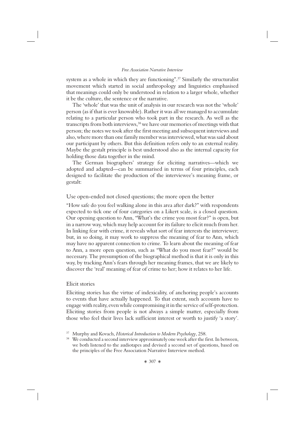system as a whole in which they are functioning".<sup>37</sup> Similarly the structuralist movement which started in social anthropology and linguistics emphasised that meanings could only be understood in relation to a larger whole, whether it be the culture, the sentence or the narrative.

The 'whole' that was the unit of analysis in our research was not the 'whole' person (as if that is ever knowable). Rather it was all we managed to accumulate relating to a particular person who took part in the research. As well as the transcripts from both interviews,<sup>38</sup> we have our memories of meetings with that person; the notes we took after the first meeting and subsequent interviews and also, where more than one family member was interviewed, what was said about our participant by others. But this definition refers only to an external reality. Maybe the gestalt principle is best understood also as the internal capacity for holding those data together in the mind.

The German biographers' strategy for eliciting narratives—which we adopted and adapted—can be summarised in terms of four principles, each designed to facilitate the production of the interviewee's meaning frame, or gestalt:

#### Use open-ended not closed questions; the more open the better

"How safe do you feel walking alone in this area after dark?" with respondents expected to tick one of four categories on a Likert scale, is a closed question. Our opening question to Ann, "What's the crime you most fear?" is open, but in a narrow way, which may help account for its failure to elicit much from her. In linking fear with crime, it reveals what sort of fear interests the interviewer; but, in so doing, it may work to suppress the meaning of fear to Ann, which may have no apparent connection to crime. To learn about the meaning of fear to Ann, a more open question, such as "What do you most fear?" would be necessary. The presumption of the biographical method is that it is only in this way, by tracking Ann's fears through her meaning frames, that we are likely to discover the 'real' meaning of fear of crime to her; how it relates to her life.

#### Elicit stories

Eliciting stories has the virtue of indexicality, of anchoring people's accounts to events that have actually happened. To that extent, such accounts have to engage with reality, even while compromising it in the service of self-protection. Eliciting stories from people is not always a simple matter, especially from those who feel their lives lack sufficient interest or worth to justify 'a story'.

\* 307 \*

<sup>37</sup> Murphy and Kovach, *Historical Introduction to Modern Psychology*, 258.

We conducted a second interview approximately one week after the first. In between, we both listened to the audiotapes and devised a second set of questions, based on the principles of the Free Association Narrative Interview method.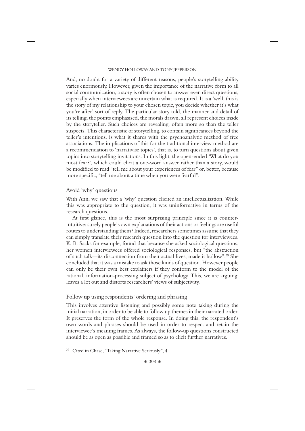And, no doubt for a variety of different reasons, people's storytelling ability varies enormously. However, given the importance of the narrative form to all social communication, a story is often chosen to answer even direct questions, especially when interviewees are uncertain what is required. It is a 'well, this is the story of my relationship to your chosen topic, you decide whether it's what you're after' sort of reply. The particular story told, the manner and detail of its telling, the points emphasised, the morals drawn, all represent choices made by the storyteller. Such choices are revealing, often more so than the teller suspects. This characteristic of storytelling, to contain significances beyond the teller's intentions, is what it shares with the psychoanalytic method of free associations. The implications of this for the traditional interview method are a recommendation to 'narrativise topics', that is, to turn questions about given topics into storytelling invitations. In this light, the open-ended 'What do you most fear?', which could elicit a one-word answer rather than a story, would be modified to read "tell me about your experiences of fear" or, better, because more specific, "tell me about a time when you were fearful".

#### Avoid 'why' questions

With Ann, we saw that a 'why' question elicited an intellectualisation. While this was appropriate to the question, it was uninformative in terms of the research questions.

At first glance, this is the most surprising principle since it is counterintuitive: surely people's own explanations of their actions or feelings are useful routes to understanding them? Indeed, researchers sometimes assume that they can simply translate their research question into the question for interviewees. K. B. Sacks for example, found that because she asked sociological questions, her women interviewees offered sociological responses, but "the abstraction of such talk—its disconnection from their actual lives, made it hollow".39 She concluded that it was a mistake to ask those kinds of question. However people can only be their own best explainers if they conform to the model of the rational, information-processing subject of psychology. This, we are arguing, leaves a lot out and distorts researchers' views of subjectivity.

#### Follow up using respondents' ordering and phrasing

This involves attentive listening and possibly some note taking during the initial narration, in order to be able to follow up themes in their narrated order. It preserves the form of the whole response. In doing this, the respondent's own words and phrases should be used in order to respect and retain the interviewee's meaning frames. As always, the follow-up questions constructed should be as open as possible and framed so as to elicit further narratives.

<sup>39</sup> Cited in Chase, "Taking Narrative Seriously", 4.

\* 308 \*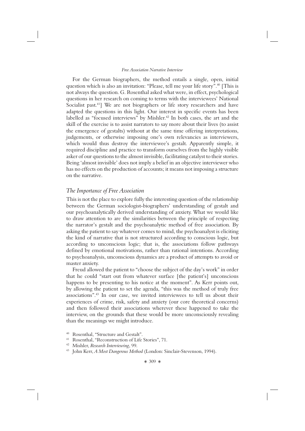For the German biographers, the method entails a single, open, initial question which is also an invitation: "Please, tell me your life story".40 [This is not always the question. G. Rosenthal asked what were, in effect, psychological questions in her research on coming to terms with the interviewees' National Socialist past.<sup>41</sup>] We are not biographers or life story researchers and have adapted the questions in this light. Our interest in specific events has been labelled as "focused interviews" by Mishler. <sup>42</sup> In both cases, the art and the skill of the exercise is to assist narrators to say more about their lives (to assist the emergence of gestalts) without at the same time offering interpretations, judgements, or otherwise imposing one's own relevancies as interviewers, which would thus destroy the interviewee's gestalt. Apparently simple, it required discipline and practice to transform ourselves from the highly visible asker of our questions to the almost invisible, facilitating catalyst to their stories. Being 'almost invisible' does not imply a belief in an objective interviewer who has no effects on the production of accounts; it means not imposing a structure on the narrative.

#### *The Importance of Free Association*

This is not the place to explore fully the interesting question of the relationship between the German sociologist-biographers' understanding of gestalt and our psychoanalytically derived understanding of anxiety. What we would like to draw attention to are the similarities between the principle of respecting the narrator's gestalt and the psychoanalytic method of free association. By asking the patient to say whatever comes to mind, the psychoanalyst is eliciting the kind of narrative that is not structured according to conscious logic, but according to unconscious logic; that is, the associations follow pathways defined by emotional motivations, rather than rational intentions. According to psychoanalysis, unconscious dynamics are a product of attempts to avoid or master anxiety.

Freud allowed the patient to "choose the subject of the day's work" in order that he could "start out from whatever surface [the patient's] unconscious happens to be presenting to his notice at the moment". As Kerr points out, by allowing the patient to set the agenda, "this was the method of truly free associations".43 In our case, we invited interviewees to tell us about their experiences of crime, risk, safety and anxiety (our core theoretical concerns) and then followed their associations wherever these happened to take the interview, on the grounds that these would be more unconsciously revealing than the meanings we might introduce.

- <sup>40</sup> Rosenthal, "Structure and Gestalt".
- <sup>41</sup> Rosenthal, "Reconstruction of Life Stories", 71.
- <sup>42</sup> Mishler, *Research Interviewing*, 99.
- <sup>43</sup> John Kerr, *A Most Dangerous Method* (London: Sinclair-Stevenson, 1994).

\* 309 \*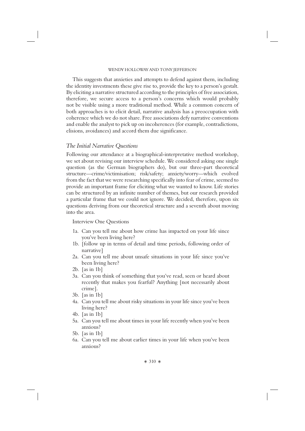This suggests that anxieties and attempts to defend against them, including the identity investments these give rise to, provide the key to a person's gestalt. By eliciting a narrative structured according to the principles of free association, therefore, we secure access to a person's concerns which would probably not be visible using a more traditional method. While a common concern of both approaches is to elicit detail, narrative analysis has a preoccupation with coherence which we do not share. Free associations defy narrative conventions and enable the analyst to pick up on incoherences (for example, contradictions, elisions, avoidances) and accord them due significance.

#### *The Initial Narrative Questions*

Following our attendance at a biographical-interpretative method workshop, we set about revising our interview schedule. We considered asking one single question (as the German biographers do), but our three-part theoretical structure—crime/victimisation; risk/safety; anxiety/worry—which evolved from the fact that we were researching specifically into fear of crime, seemed to provide an important frame for eliciting what we wanted to know. Life stories can be structured by an infinite number of themes, but our research provided a particular frame that we could not ignore. We decided, therefore, upon six questions deriving from our theoretical structure and a seventh about moving into the area.

#### Interview One Questions

- 1a. Can you tell me about how crime has impacted on your life since you've been living here?
- 1b. [follow up in terms of detail and time periods, following order of narrative]
- 2a. Can you tell me about unsafe situations in your life since you've been living here?
- 2b. [as in 1b]
- 3a. Can you think of something that you've read, seen or heard about recently that makes you fearful? Anything [not necessarily about crime].
- 3b. [as in 1b]
- 4a. Can you tell me about risky situations in your life since you've been living here?
- 4b. [as in 1b]
- 5a. Can you tell me about times in your life recently when you've been anxious?
- 5b. [as in 1b]
- 6a. Can you tell me about earlier times in your life when you've been anxious?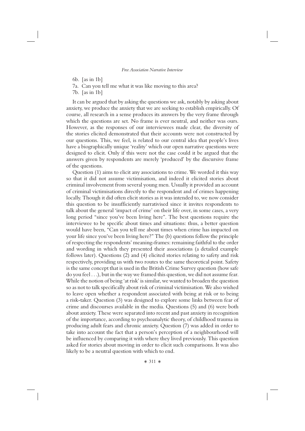- 6b. [as in 1b]
- 7a. Can you tell me what it was like moving to this area?
- 7b. [as in 1b]

It can be argued that by asking the questions we ask, notably by asking about anxiety, we produce the anxiety that we are seeking to establish empirically. Of course, all research in a sense produces its answers by the very frame through which the questions are set. No frame is ever neutral, and neither was ours. However, as the responses of our interviewees made clear, the diversity of the stories elicited demonstrated that their accounts were not constructed by our questions. This, we feel, is related to our central idea that people's lives have a biographically unique 'reality' which our open narrative questions were designed to elicit. Only if this were not the case could it be argued that the answers given by respondents are merely 'produced' by the discursive frame of the questions.

Question (1) aims to elicit any associations to crime. We worded it this way so that it did not assume victimisation, and indeed it elicited stories about criminal involvement from several young men. Usually it provided an account of criminal victimisations directly to the respondent and of crimes happening locally. Though it did often elicit stories as it was intended to, we now consider this question to be insufficiently narrativised since it invites respondents to talk about the general 'impact of crime' on their life over, in some cases, a very long period "since you've been living here". The best questions require the interviewee to be specific about times and situations: thus, a better question would have been, "Can you tell me about times when crime has impacted on your life since you've been living here?" The (b) questions follow the principle of respecting the respondents' meaning-frames: remaining faithful to the order and wording in which they presented their associations (a detailed example follows later). Questions (2) and (4) elicited stories relating to safety and risk respectively, providing us with two routes to the same theoretical point. Safety is the same concept that is used in the British Crime Survey question (how safe do you feel . . .), but in the way we framed this question, we did not assume fear. While the notion of being 'at risk' is similar, we wanted to broaden the question so as not to talk specifically about risk of criminal victimisation. We also wished to leave open whether a respondent associated with being at risk or to being a risk-taker. Question (3) was designed to explore some links between fear of crime and discourses available in the media. Questions (5) and (6) were both about anxiety. These were separated into recent and past anxiety in recognition of the importance, according to psychoanalytic theory, of childhood trauma in producing adult fears and chronic anxiety. Question (7) was added in order to take into account the fact that a person's perception of a neighbourhood will be influenced by comparing it with where they lived previously. This question asked for stories about moving in order to elicit such comparisons. It was also likely to be a neutral question with which to end.

\* 311 \*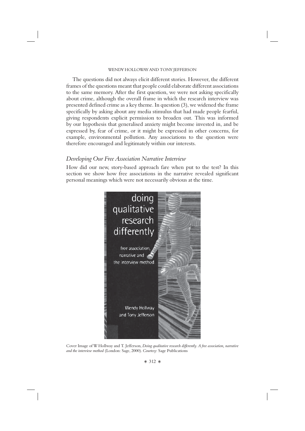The questions did not always elicit different stories. However, the different frames of the questions meant that people could elaborate different associations to the same memory. After the first question, we were not asking specifically about crime, although the overall frame in which the research interview was presented defined crime as a key theme. In question (3), we widened the frame specifically by asking about any media stimulus that had made people fearful, giving respondents explicit permission to broaden out. This was informed by our hypothesis that generalised anxiety might become invested in, and be expressed by, fear of crime, or it might be expressed in other concerns, for example, environmental pollution. Any associations to the question were therefore encouraged and legitimately within our interests.

#### *Developing Our Free Association Narrative Interview*

How did our new, story-based approach fare when put to the test? In this section we show how free associations in the narrative revealed significant personal meanings which were not necessarily obvious at the time.



Cover Image of W Hollway and T. Jefferson, *Doing qualitative research differently. A free association, narrative and the interview method* (London: Sage, 2000). *Courtesy*: Sage Publications

\* 312 \*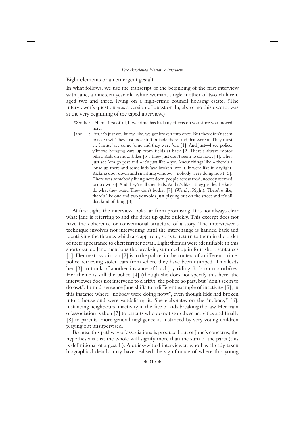#### Eight elements or an emergent gestalt

In what follows, we use the transcript of the beginning of the first interview with Jane, a nineteen year-old white woman, single mother of two children, aged two and three, living on a high-crime council housing estate. (The interviewer's question was a version of question 1a, above, so this excerpt was at the very beginning of the taped interview.)

- Wendy : Tell me first of all, how crime has had any effects on you since you moved here.
- Jane : Em, it's just you know, like, we got broken into once. But they didn't seem to take owt. They just took stuff outside there, and that were it. They must er, I must 'ave come 'ome and they were 'ere [1]. And just—I see police, y'know, bringing cars up from fields at back [2].There's always motor bikes. Kids on motorbikes [3]. They just don't seem to do nowt [4]. They just see 'em go past and – it's just like – you know things like – there's a 'ouse up there and some kids 'ave broken into it. It were like in daylight. Kicking door down and smashing window – nobody were doing nowt [5]. There was somebody living next door, people across road, nobody seemed to do owt [6]. And they're all their kids. And it's like – they just let the kids do what they want. They don't bother [7]. (Wendy: Right). There're like, there's like one and two year-olds just playing out on the street and it's all that kind of thing [8].

At first sight, the interview looks far from promising. It is not always clear what Jane is referring to and she dries up quite quickly. This excerpt does not have the coherence or conventional structure of a story. The interviewer's technique involves not intervening until the interchange is handed back and identifying the themes which are apparent, so as to return to them in the order of their appearance to elicit further detail. Eight themes were identifiable in this short extract. Jane mentions the break-in, summed up in four short sentences [1]. Her next association [2] is to the police, in the context of a different crime: police retrieving stolen cars from where they have been dumped. This leads her [3] to think of another instance of local joy riding: kids on motorbikes. Her theme is still the police [4] (though she does not specify this here, the interviewer does not intervene to clarify): the police go past, but "don't seem to do owt". In mid-sentence Jane shifts to a different example of inactivity [5], in this instance where "nobody were doing nowt", even though kids had broken into a house and were vandalising it. She elaborates on the "nobody" [6], instancing neighbours' inactivity in the face of kids breaking the law. Her train of association is then [7] to parents who do not stop these activities and finally [8] to parents' more general negligence as instanced by very young children playing out unsupervised.

Because this pathway of associations is produced out of Jane's concerns, the hypothesis is that the whole will signify more than the sum of the parts (this is definitional of a gestalt). A quick-witted interviewer, who has already taken biographical details, may have realised the significance of where this young

\* 313 \*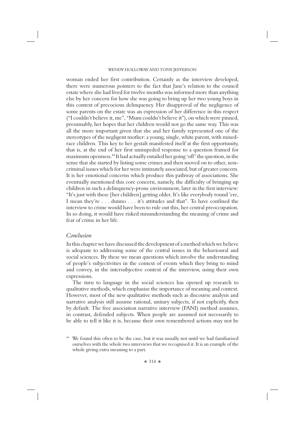woman ended her first contribution. Certainly as the interview developed, there were numerous pointers to the fact that Jane's relation to the council estate where she had lived for twelve months was informed more than anything else by her concern for how she was going to bring up her two young boys in this context of precocious delinquency. Her disapproval of the negligence of some parents on the estate was an expression of her difference in this respect ("I couldn't believe it, me", "Mum couldn't believe it"), on which were pinned, presumably, her hopes that her children would not go the same way. This was all the more important given that she and her family represented one of the stereotypes of the negligent mother: a young, single, white parent, with mixedrace children. This key to her gestalt manifested itself at the first opportunity, that is, at the end of her first unimpeded response to a question framed for maximum openness.44 It had actually entailed her going 'off' the question, in the sense that she started by listing some crimes and then moved on to other, noncriminal issues which for her were intimately associated, but of greater concern. It is her emotional concerns which produce this pathway of associations. She eventually mentioned this core concern, namely, the difficulty of bringing up children in such a delinquency-prone environment, later in the first interview: "It's just with these [her children] getting older. It's like everybody round 'ere, I mean they're . . . dunno . . . it's attitudes and that". To have confined the interview to crime would have been to rule out this, her central preoccupation. In so doing, it would have risked misunderstanding the meaning of crime and fear of crime in her life.

#### *Conclusion*

In this chapter we have discussed the development of a method which we believe is adequate to addressing some of the central issues in the behavioural and social sciences. By these we mean questions which involve the understanding of people's subjectivities in the context of events which they bring to mind and convey, in the intersubjective context of the interview, using their own expressions.

The turn to language in the social sciences has opened up research to qualitative methods, which emphasise the importance of meaning and context. However, most of the new qualitative methods such as discourse analysis and narrative analysis still assume rational, unitary subjects, if not explicitly, then by default. The free association narrative interview (FANI) method assumes, in contrast, defended subjects. When people are assumed not necessarily to be able to tell it like it is, because their own remembered actions may not be

\* 314 \*

<sup>44</sup> We found this often to be the case, but it was usually not until we had familiarised ourselves with the whole two interviews that we recognised it. It is an example of the whole giving extra meaning to a part.